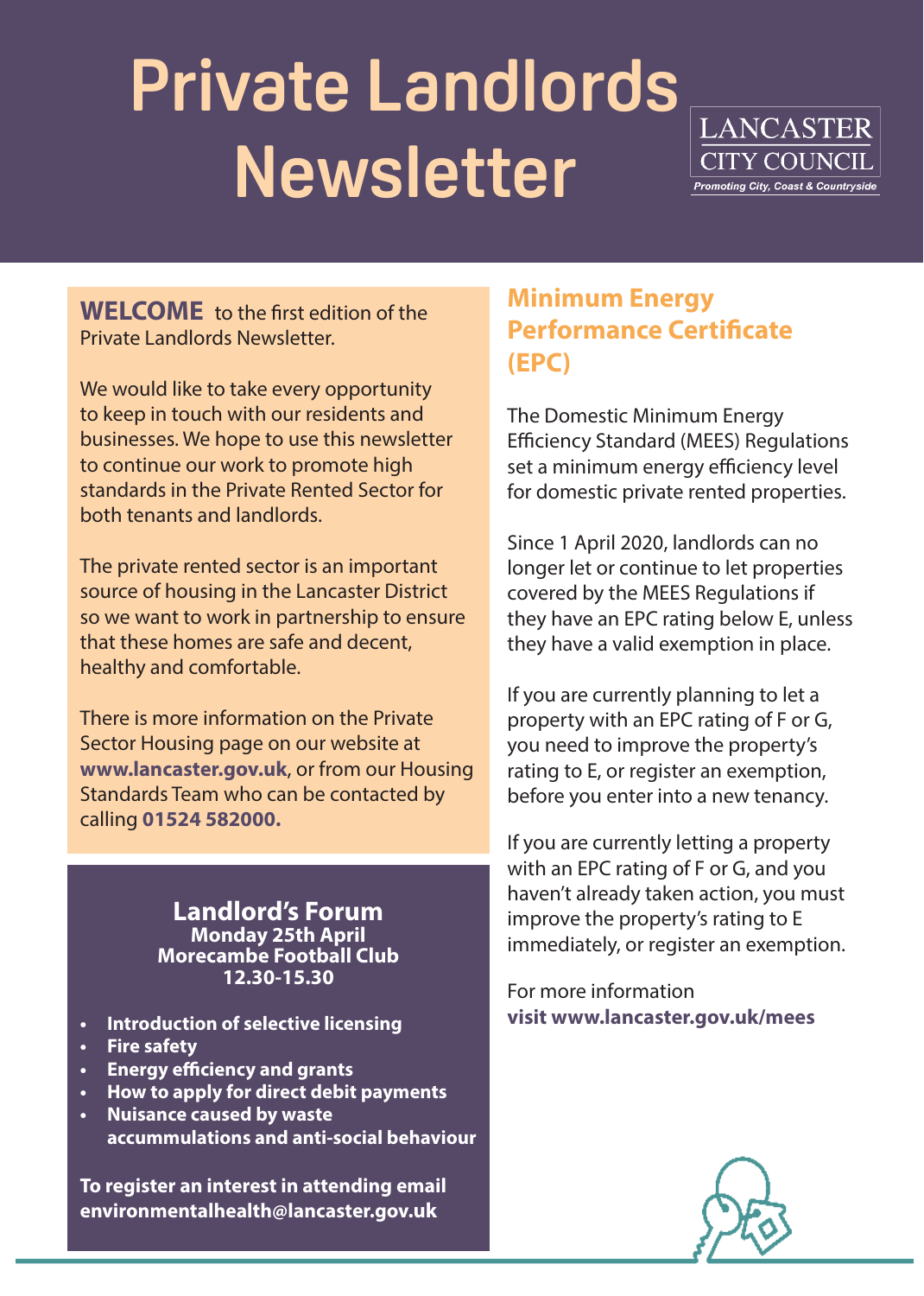# **Private Landlords Newsletter**



**WELCOME** to the first edition of the Private Landlords Newsletter.

We would like to take every opportunity to keep in touch with our residents and businesses. We hope to use this newsletter to continue our work to promote high standards in the Private Rented Sector for both tenants and landlords.

The private rented sector is an important source of housing in the Lancaster District so we want to work in partnership to ensure that these homes are safe and decent, healthy and comfortable.

There is more information on the Private Sector Housing page on our website at **www.lancaster.gov.uk**, or from our Housing Standards Team who can be contacted by calling **01524 582000.**

> **Landlord's Forum Monday 25th April Morecambe Football Club 12.30-15.30**

- **• Introduction of selective licensing**
- **• Fire safety**
- **• Energy efficiency and grants**
- **• How to apply for direct debit payments**
- **• Nuisance caused by waste accummulations and anti-social behaviour**

**To register an interest in attending email**  environmentalhealth@lancaster.gov.uk

## **Minimum Energy Performance Certificate (EPC)**

The Domestic Minimum Energy Efficiency Standard (MEES) Regulations set a minimum energy efficiency level for domestic private rented properties.

Since 1 April 2020, landlords can no longer let or continue to let properties covered by the MEES Regulations if they have an EPC rating below E, unless they have a valid exemption in place.

If you are currently planning to let a property with an EPC rating of F or G, you need to improve the property's rating to E, or register an exemption, before you enter into a new tenancy.

If you are currently letting a property with an EPC rating of F or G, and you haven't already taken action, you must improve the property's rating to E immediately, or register an exemption.

For more information **visit www.lancaster.gov.uk/mees**

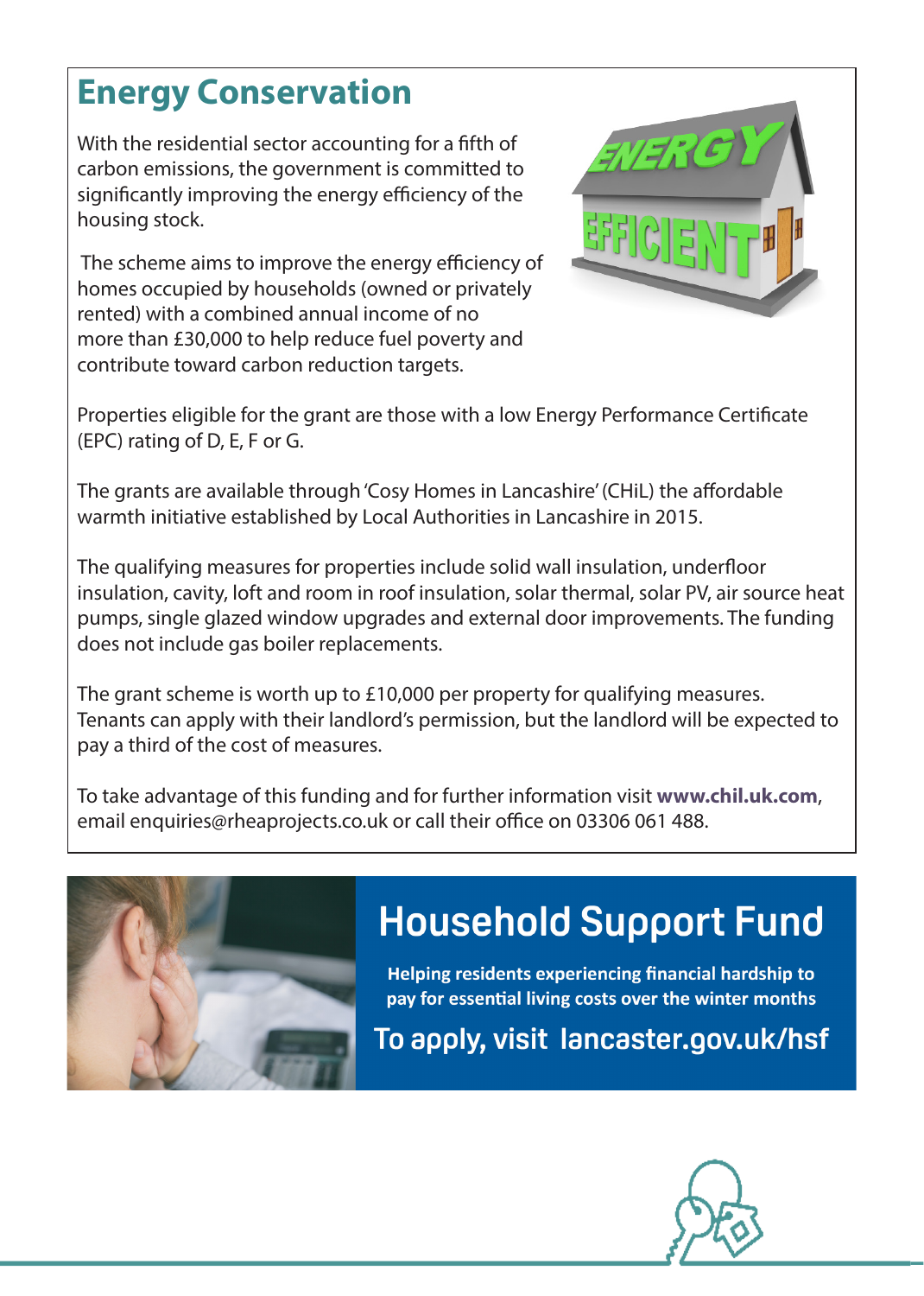## **Energy Conservation**

With the residential sector accounting for a fifth of carbon emissions, the government is committed to significantly improving the energy efficiency of the housing stock.

 The scheme aims to improve the energy efficiency of homes occupied by households (owned or privately rented) with a combined annual income of no more than £30,000 to help reduce fuel poverty and contribute toward carbon reduction targets.



Properties eligible for the grant are those with a low Energy Performance Certificate (EPC) rating of D, E, F or G.

The grants are available through 'Cosy Homes in Lancashire' (CHiL) the affordable warmth initiative established by Local Authorities in Lancashire in 2015.

The qualifying measures for properties include solid wall insulation, underfloor insulation, cavity, loft and room in roof insulation, solar thermal, solar PV, air source heat pumps, single glazed window upgrades and external door improvements. The funding does not include gas boiler replacements.

The grant scheme is worth up to £10,000 per property for qualifying measures. Tenants can apply with their landlord's permission, but the landlord will be expected to pay a third of the cost of measures.

To take advantage of this funding and for further information visit **www.chil.uk.com**, email enquiries@rheaprojects.co.uk or call their office on 03306 061 488.



## **Household Support Fund**

Helping residents experiencing financial hardship to pay for essential living costs over the winter months

To apply, visit lancaster.gov.uk/hsf